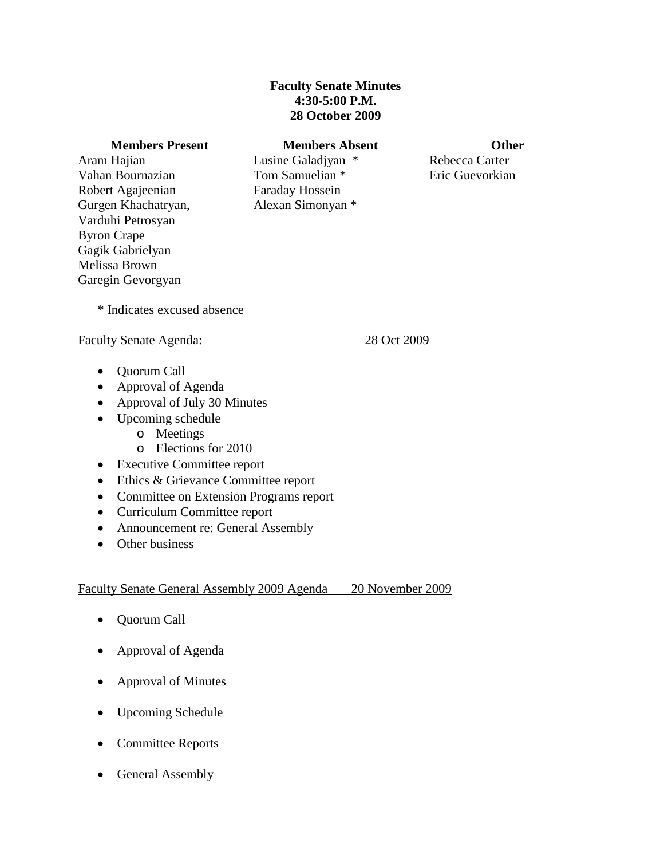# **Faculty Senate Minutes 4:30-5:00 P.M. 28 October 2009**

#### **Members Present Members Absent Other**

Aram Hajian Vahan Bournazian Robert Agajeenian Gurgen Khachatryan, Varduhi Petrosyan Byron Crape Gagik Gabrielyan Melissa Brown Garegin Gevorgyan

Lusine Galadjyan \* Tom Samuelian \* Faraday Hossein Alexan Simonyan \*

Rebecca Carter Eric Guevorkian

\* Indicates excused absence

## Faculty Senate Agenda: 28 Oct 2009

- Quorum Call
- Approval of Agenda
- Approval of July 30 Minutes
- Upcoming schedule
	- o Meetings
	- o Elections for 2010
- Executive Committee report
- Ethics & Grievance Committee report
- Committee on Extension Programs report
- Curriculum Committee report
- Announcement re: General Assembly
- Other business

# Faculty Senate General Assembly 2009 Agenda 20 November 2009

- Quorum Call
- Approval of Agenda
- Approval of Minutes
- Upcoming Schedule
- Committee Reports
- General Assembly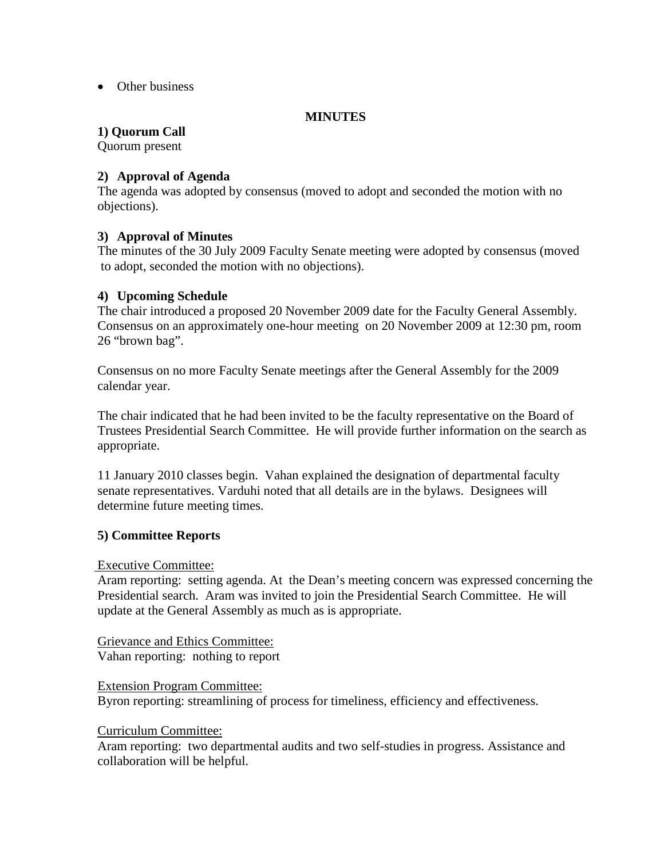• Other business

## **MINUTES**

# **1) Quorum Call**

Quorum present

## **2) Approval of Agenda**

 The agenda was adopted by consensus (moved to adopt and seconded the motion with no objections).

## **3) Approval of Minutes**

The minutes of the 30 July 2009 Faculty Senate meeting were adopted by consensus (moved to adopt, seconded the motion with no objections).

## **4) Upcoming Schedule**

The chair introduced a proposed 20 November 2009 date for the Faculty General Assembly. Consensus on an approximately one-hour meeting on 20 November 2009 at 12:30 pm, room 26 "brown bag".

Consensus on no more Faculty Senate meetings after the General Assembly for the 2009 calendar year.

The chair indicated that he had been invited to be the faculty representative on the Board of Trustees Presidential Search Committee. He will provide further information on the search as appropriate.

11 January 2010 classes begin. Vahan explained the designation of departmental faculty senate representatives. Varduhi noted that all details are in the bylaws. Designees will determine future meeting times.

## **5) Committee Reports**

## Executive Committee:

Aram reporting: setting agenda. At the Dean's meeting concern was expressed concerning the Presidential search. Aram was invited to join the Presidential Search Committee. He will update at the General Assembly as much as is appropriate.

# Grievance and Ethics Committee:

Vahan reporting: nothing to report

## Extension Program Committee:

Byron reporting: streamlining of process for timeliness, efficiency and effectiveness.

## Curriculum Committee:

Aram reporting: two departmental audits and two self-studies in progress. Assistance and collaboration will be helpful.